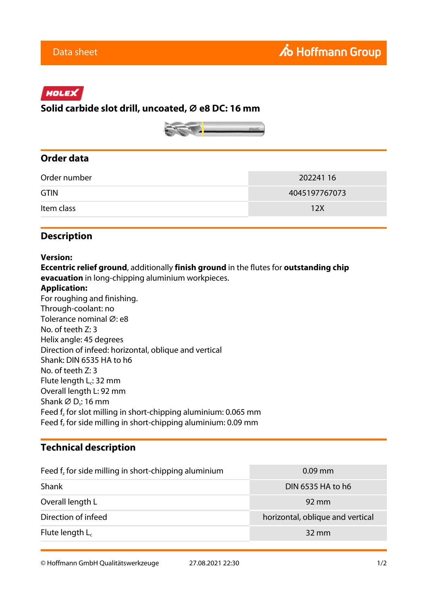# HOLEX

### **Solid carbide slot drill, uncoated, ⌀ e8 DC: 16 mm**



## **Order data**

| Order number | 202241 16     |
|--------------|---------------|
| <b>GTIN</b>  | 4045197767073 |
| Item class   | 12X           |

### **Description**

#### **Version:**

**Eccentric relief ground**, additionally **finish ground** in the flutes for **outstanding chip evacuation** in long-chipping aluminium workpieces.

#### **Application:**

For roughing and finishing. Through-coolant: no Tolerance nominal Ø: e8 No. of teeth Z: 3 Helix angle: 45 degrees Direction of infeed: horizontal, oblique and vertical Shank: DIN 6535 HA to h6 No. of teeth Z: 3 Flute length  $L_c$ : 32 mm Overall length L: 92 mm Shank  $\varnothing$  D<sub>s</sub>: 16 mm Feed  $f_z$  for slot milling in short-chipping aluminium: 0.065 mm Feed  $f_z$  for side milling in short-chipping aluminium: 0.09 mm

### **Technical description**

| Feed $fz$ for side milling in short-chipping aluminium | $0.09$ mm                        |
|--------------------------------------------------------|----------------------------------|
| Shank                                                  | DIN 6535 HA to h6                |
| Overall length L                                       | $92 \,\mathrm{mm}$               |
| Direction of infeed                                    | horizontal, oblique and vertical |
| Flute length $L_c$                                     | $32 \text{ mm}$                  |